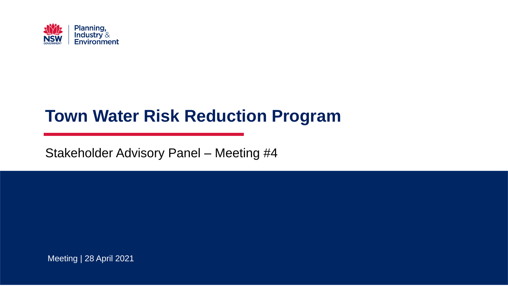

## **Town Water Risk Reduction Program**

Stakeholder Advisory Panel – Meeting #4

Meeting | 28 April 2021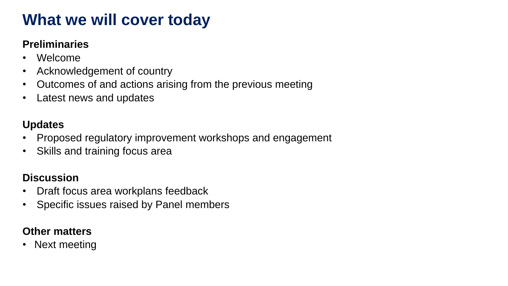## **What we will cover today**

#### **Preliminaries**

- Welcome
- Acknowledgement of country
- Outcomes of and actions arising from the previous meeting
- Latest news and updates

#### **Updates**

- Proposed regulatory improvement workshops and engagement
- Skills and training focus area

#### **Discussion**

- Draft focus area workplans feedback
- Specific issues raised by Panel members

#### **Other matters**

• Next meeting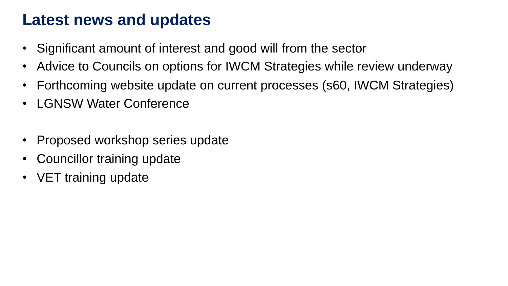### **Latest news and updates**

- Significant amount of interest and good will from the sector
- Advice to Councils on options for IWCM Strategies while review underway
- Forthcoming website update on current processes (s60, IWCM Strategies)
- LGNSW Water Conference
- Proposed workshop series update
- Councillor training update
- VET training update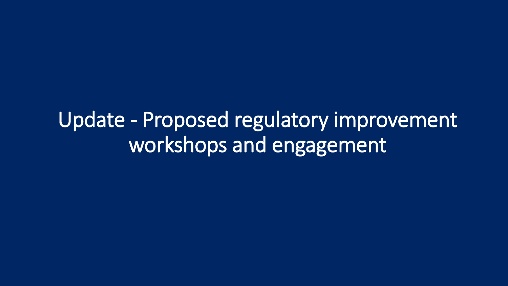Update - Proposed regulatory improvement workshops and engagement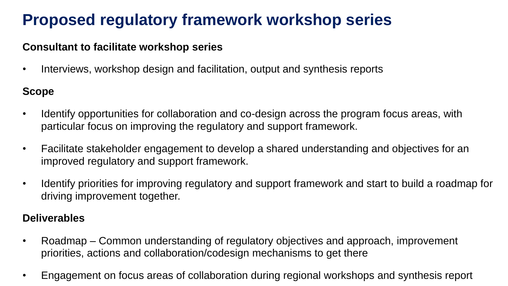#### **Consultant to facilitate workshop series**

• Interviews, workshop design and facilitation, output and synthesis reports

#### **Scope**

- Identify opportunities for collaboration and co-design across the program focus areas, with particular focus on improving the regulatory and support framework.
- Facilitate stakeholder engagement to develop a shared understanding and objectives for an improved regulatory and support framework.
- Identify priorities for improving regulatory and support framework and start to build a roadmap for driving improvement together.

#### **Deliverables**

- Roadmap Common understanding of regulatory objectives and approach, improvement priorities, actions and collaboration/codesign mechanisms to get there
- Engagement on focus areas of collaboration during regional workshops and synthesis report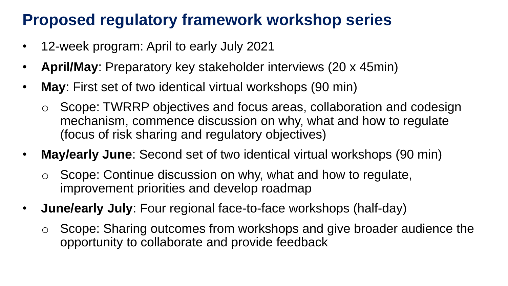- 12-week program: April to early July 2021
- **April/May**: Preparatory key stakeholder interviews (20 x 45min)
- **May**: First set of two identical virtual workshops (90 min)
	- o Scope: TWRRP objectives and focus areas, collaboration and codesign mechanism, commence discussion on why, what and how to regulate (focus of risk sharing and regulatory objectives)
- **May/early June**: Second set of two identical virtual workshops (90 min)
	- o Scope: Continue discussion on why, what and how to regulate, improvement priorities and develop roadmap
- **June/early July**: Four regional face-to-face workshops (half-day)
	- o Scope: Sharing outcomes from workshops and give broader audience the opportunity to collaborate and provide feedback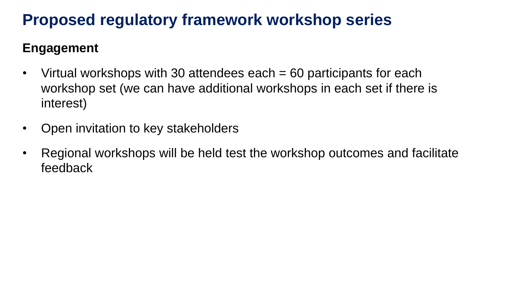### **Engagement**

- Virtual workshops with 30 attendees each = 60 participants for each workshop set (we can have additional workshops in each set if there is interest)
- Open invitation to key stakeholders
- Regional workshops will be held test the workshop outcomes and facilitate feedback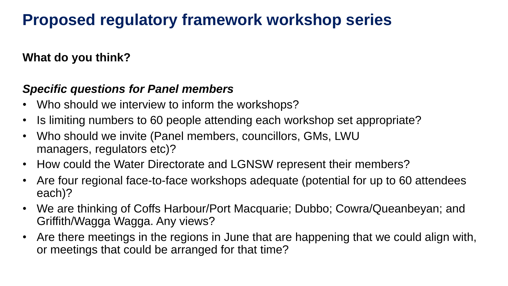**What do you think?**

#### *Specific questions for Panel members*

- Who should we interview to inform the workshops?
- Is limiting numbers to 60 people attending each workshop set appropriate?
- Who should we invite (Panel members, councillors, GMs, LWU managers, regulators etc)?
- How could the Water Directorate and LGNSW represent their members?
- Are four regional face-to-face workshops adequate (potential for up to 60 attendees each)?
- We are thinking of Coffs Harbour/Port Macquarie; Dubbo; Cowra/Queanbeyan; and Griffith/Wagga Wagga. Any views?
- Are there meetings in the regions in June that are happening that we could align with, or meetings that could be arranged for that time?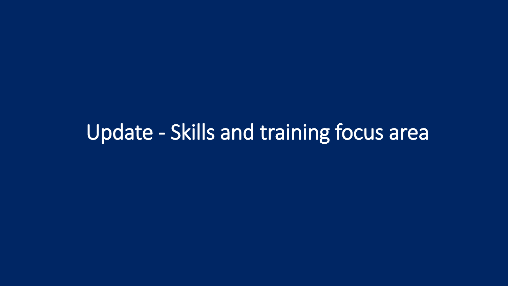# Update - Skills and training focus area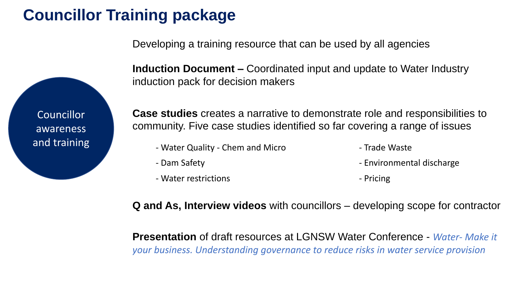# **Councillor Training package**

Developing a training resource that can be used by all agencies

**Councillor** awareness and training **Induction Document –** Coordinated input and update to Water Industry induction pack for decision makers

**Case studies** creates a narrative to demonstrate role and responsibilities to community. Five case studies identified so far covering a range of issues

- Water Quality Chem and Micro **Face 19 and Micro Trade Waste** 
	-
- 
- Dam Safety  **Environmental discharge**
- Water restrictions and the extreme of the Pricing of Pricing
	-

**Q and As, Interview videos** with councillors – developing scope for contractor

**Presentation** of draft resources at LGNSW Water Conference - *Water- Make it your business. Understanding governance to reduce risks in water service provision*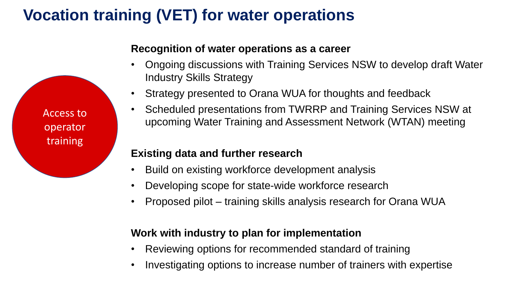# **Vocation training (VET) for water operations**

Access to operator training

#### **Recognition of water operations as a career**

- Ongoing discussions with Training Services NSW to develop draft Water Industry Skills Strategy
- Strategy presented to Orana WUA for thoughts and feedback
- Scheduled presentations from TWRRP and Training Services NSW at upcoming Water Training and Assessment Network (WTAN) meeting

#### **Existing data and further research**

- Build on existing workforce development analysis
- Developing scope for state-wide workforce research
- Proposed pilot training skills analysis research for Orana WUA

#### **Work with industry to plan for implementation**

- Reviewing options for recommended standard of training
- Investigating options to increase number of trainers with expertise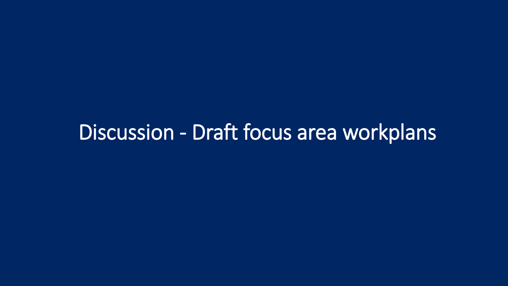# Discussion - Draft focus area workplans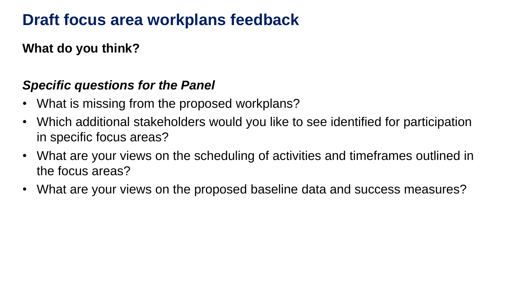### **Draft focus area workplans feedback**

**What do you think?**

### *Specific questions for the Panel*

- What is missing from the proposed workplans?
- Which additional stakeholders would you like to see identified for participation in specific focus areas?
- What are your views on the scheduling of activities and timeframes outlined in the focus areas?
- What are your views on the proposed baseline data and success measures?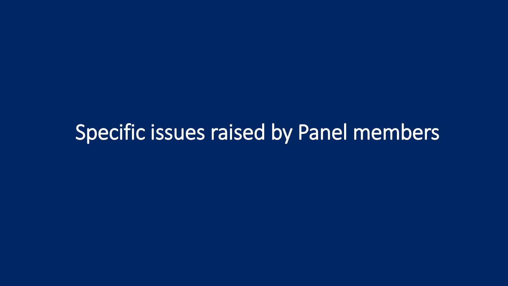# Specific issues raised by Panel members